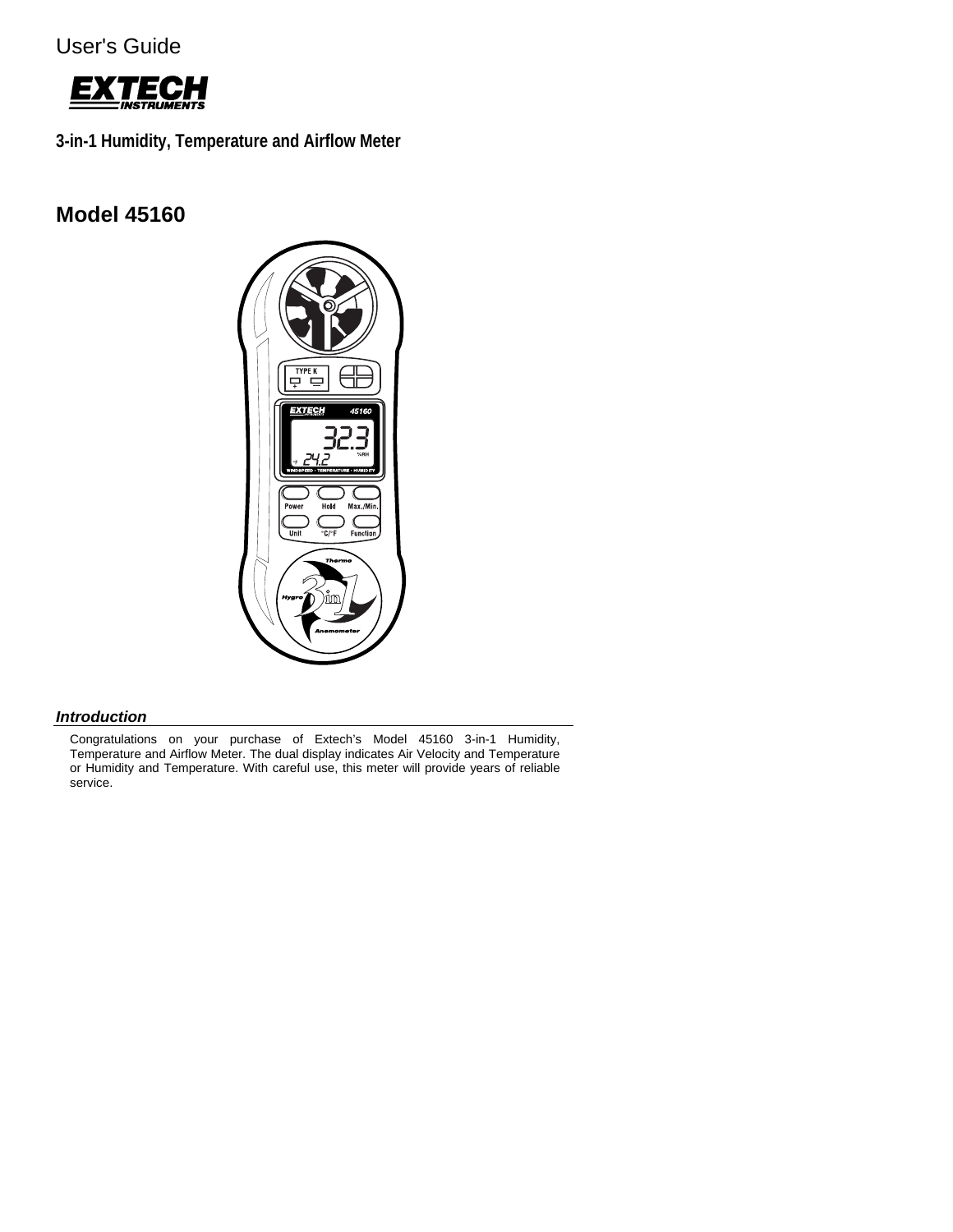User's Guide



**3-in-1 Humidity, Temperature and Airflow Meter** 

# **Model 45160**



# *Introduction*

Congratulations on your purchase of Extech's Model 45160 3-in-1 Humidity, Temperature and Airflow Meter. The dual display indicates Air Velocity and Temperature or Humidity and Temperature. With careful use, this meter will provide years of reliable service.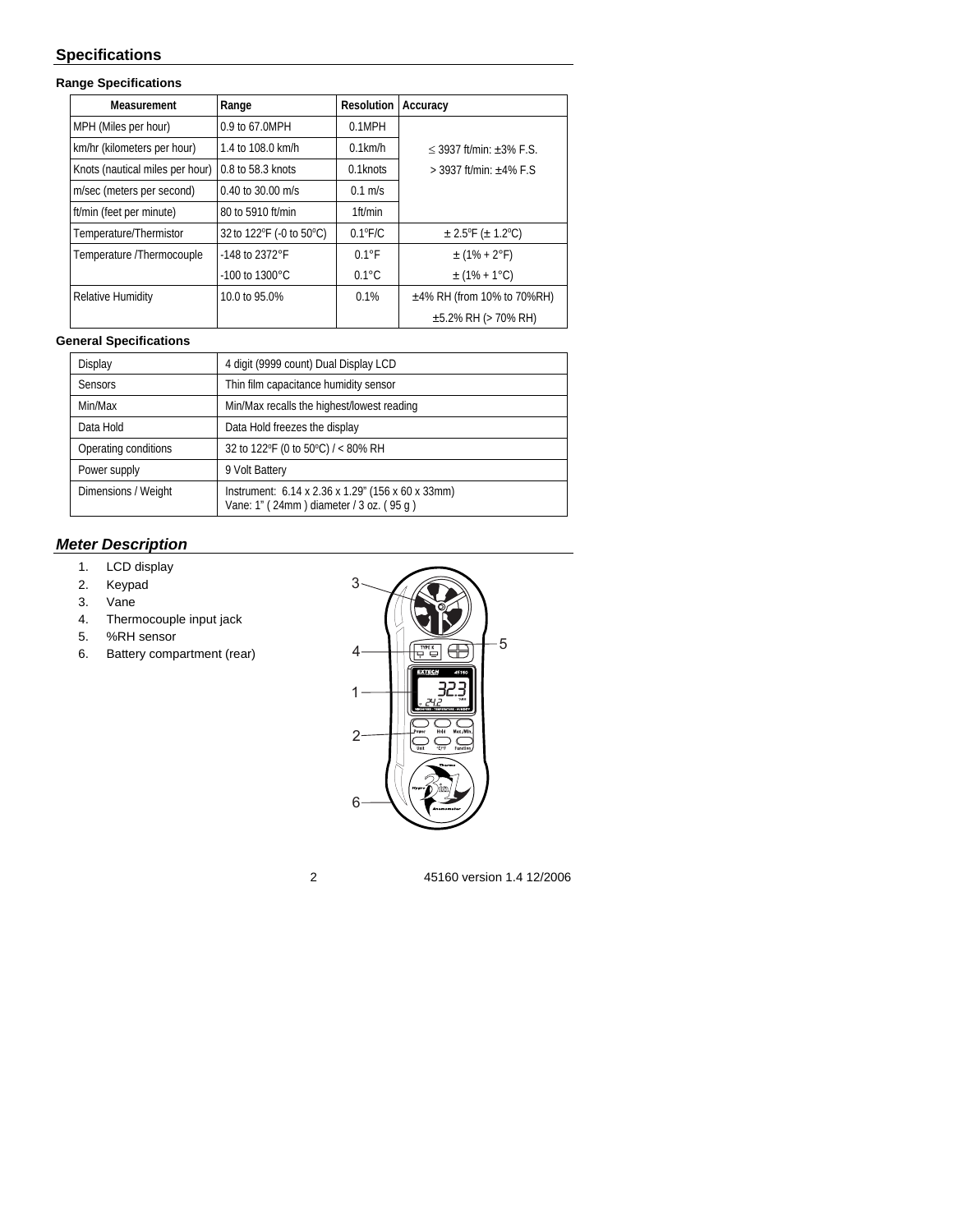# **Specifications**

### **Range Specifications**

| Measurement                     | Range                      | <b>Resolution</b> | Accuracy                        |
|---------------------------------|----------------------------|-------------------|---------------------------------|
| MPH (Miles per hour)            | 0.9 to 67.0MPH             | 0.1MPH            |                                 |
| km/hr (kilometers per hour)     | 1.4 to 108.0 km/h          | $0.1$ km/h        | $<$ 3937 ft/min: +3% F.S.       |
| Knots (nautical miles per hour) | 0.8 to 58.3 knots          | $0.1$ knots       | $>$ 3937 ft/min: $\pm$ 4% F.S   |
| m/sec (meters per second)       | $0.40$ to 30.00 m/s        | $0.1$ m/s         |                                 |
| ft/min (feet per minute)        | 80 to 5910 ft/min          | 1ft/min           |                                 |
| Temperature/Thermistor          | 32 to 122°F (-0 to 50°C)   | $0.1^{\circ}$ F/C | $\pm$ 2.5°F ( $\pm$ 1.2°C)      |
| Temperature /Thermocouple       | -148 to 2372°F             | $0.1^{\circ}$ F   | $\pm$ (1% + 2°F)                |
|                                 | $-100$ to $1300^{\circ}$ C | $0.1^{\circ}$ C   | $\pm$ (1% + 1 °C)               |
| Relative Humidity               | 10.0 to 95.0%              | 0.1%              | $\pm$ 4% RH (from 10% to 70%RH) |
|                                 |                            |                   | $\pm$ 5.2% RH (> 70% RH)        |

#### **General Specifications**

| Display              | 4 digit (9999 count) Dual Display LCD                                                        |  |  |
|----------------------|----------------------------------------------------------------------------------------------|--|--|
| <b>Sensors</b>       | Thin film capacitance humidity sensor                                                        |  |  |
| Min/Max              | Min/Max recalls the highest/lowest reading                                                   |  |  |
| Data Hold            | Data Hold freezes the display                                                                |  |  |
| Operating conditions | 32 to 122°F (0 to 50°C) / < 80% RH                                                           |  |  |
| Power supply         | 9 Volt Battery                                                                               |  |  |
| Dimensions / Weight  | Instrument: 6.14 x 2.36 x 1.29" (156 x 60 x 33mm)<br>Vane: 1" (24mm) diameter / 3 oz. (95 g) |  |  |

# *Meter Description*

- 1. LCD display
- 2. Keypad
- 3. Vane
- 4. Thermocouple input jack
- 5. %RH sensor
- 6. Battery compartment (rear)

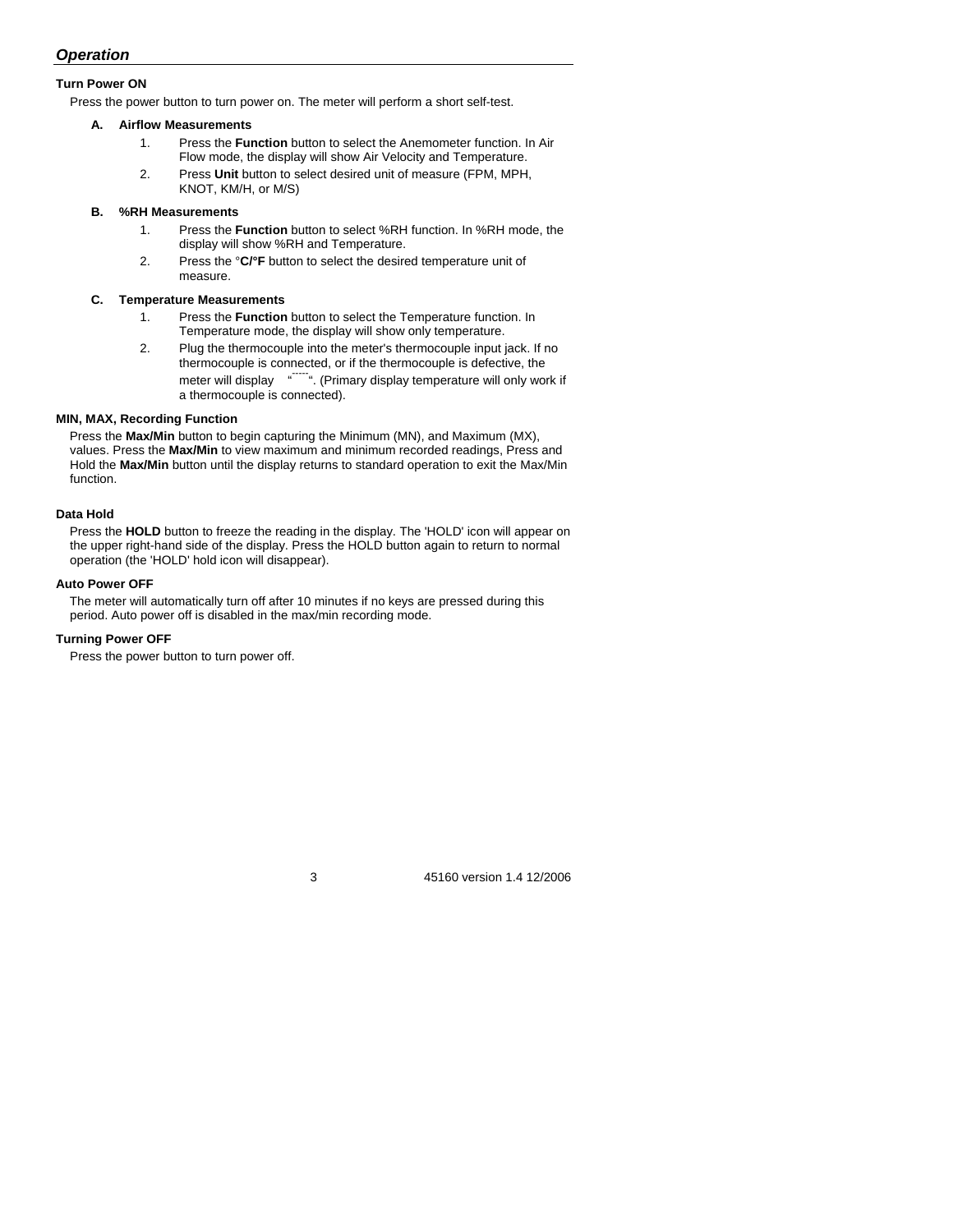## *Operation*

#### **Turn Power ON**

Press the power button to turn power on. The meter will perform a short self-test.

#### **A. Airflow Measurements**

- 1. Press the **Function** button to select the Anemometer function. In Air Flow mode, the display will show Air Velocity and Temperature.
- 2. Press **Unit** button to select desired unit of measure (FPM, MPH, KNOT, KM/H, or M/S)

#### **B. %RH Measurements**

- 1. Press the **Function** button to select %RH function. In %RH mode, the display will show %RH and Temperature.
- 2. Press the °**C/°F** button to select the desired temperature unit of measure.

#### **C. Temperature Measurements**

- 1. Press the **Function** button to select the Temperature function. In Temperature mode, the display will show only temperature.
- 2. Plug the thermocouple into the meter's thermocouple input jack. If no thermocouple is connected, or if the thermocouple is defective, the meter will display """"". (Primary display temperature will only work if a thermocouple is connected).

#### **MIN, MAX, Recording Function**

Press the **Max/Min** button to begin capturing the Minimum (MN), and Maximum (MX), values. Press the **Max/Min** to view maximum and minimum recorded readings, Press and Hold the **Max/Min** button until the display returns to standard operation to exit the Max/Min function.

#### **Data Hold**

Press the **HOLD** button to freeze the reading in the display. The 'HOLD' icon will appear on the upper right-hand side of the display. Press the HOLD button again to return to normal operation (the 'HOLD' hold icon will disappear).

#### **Auto Power OFF**

The meter will automatically turn off after 10 minutes if no keys are pressed during this period. Auto power off is disabled in the max/min recording mode.

#### **Turning Power OFF**

Press the power button to turn power off.